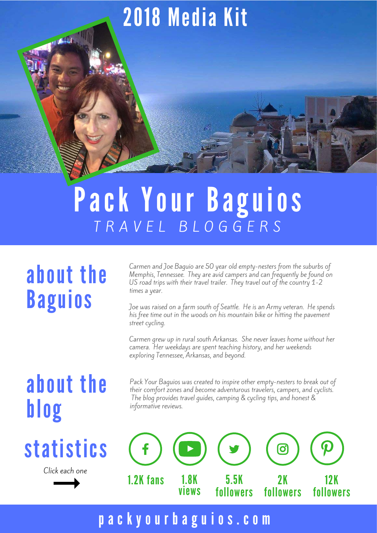# 2018 Media Kit

## Pack Your Baguios T R A V E L B L O G G E R S

#### about the Baguios

**TANK** 

Carmen and Joe Baguio are 50 year old empty-nesters from the suburbs of Memphis, Tennessee. They are avid campers and can frequently be found on US road trips with their travel trailer. They travel out of the country 1-2 times a year.

Joe was raised on a farm south of Seattle. He is an Army veteran. He spends his free time out in the woods on his mountain bike or hitting the pavement street cycling.

Carmen grew up in rural south Arkansas. She never leaves home without her camera. Her weekdays are spent teaching history, and her weekends exploring Tennessee, Arkansas, and beyond.

#### about the blog

# statistics

Click each one

Pack Your Baguios was created to inspire other empty-nesters to break out of their comfort zones and become adventurous travelers, campers, and cyclists. The blog provides travel guides, camping & cycling tips, and honest & informative reviews.



#### [p a c k y o u r b a g u i o s . c o m](http://www.packyourbaguios.com/)